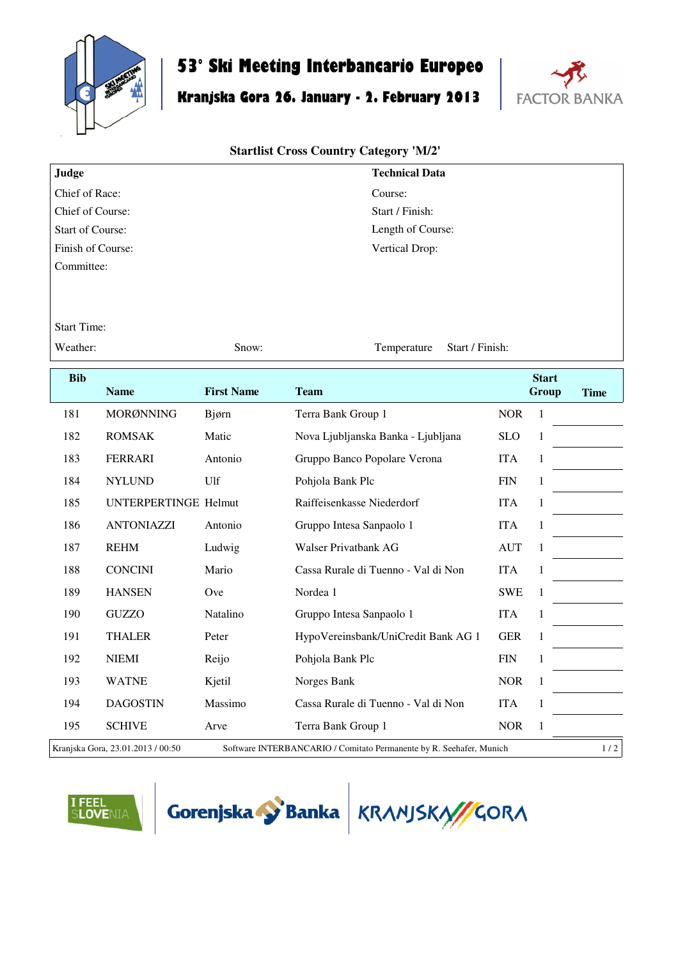

## **53° Ski Meeting Interbancario Europeo**

## **Kranjska Gora 26. January - 2. February 2013**



## **Startlist Cross Country Category 'M/2'**

| Judge                   | <b>Technical Data</b> |
|-------------------------|-----------------------|
| Chief of Race:          | Course:               |
| Chief of Course:        | Start / Finish:       |
| <b>Start of Course:</b> | Length of Course:     |
| Finish of Course:       | Vertical Drop:        |
| Committee:              |                       |

Start Time:

Weather: Show: Show: Temperature Start / Finish:

| <b>Bib</b>                                                                                               |                             |                   |                                     |            | <b>Start</b> |             |
|----------------------------------------------------------------------------------------------------------|-----------------------------|-------------------|-------------------------------------|------------|--------------|-------------|
|                                                                                                          | <b>Name</b>                 | <b>First Name</b> | <b>Team</b>                         |            | Group        | <b>Time</b> |
| 181                                                                                                      | <b>MORØNNING</b>            | Bjørn             | Terra Bank Group 1                  | <b>NOR</b> | 1            |             |
| 182                                                                                                      | <b>ROMSAK</b>               | Matic             | Nova Ljubljanska Banka - Ljubljana  | <b>SLO</b> | 1            |             |
| 183                                                                                                      | <b>FERRARI</b>              | Antonio           | Gruppo Banco Popolare Verona        | <b>ITA</b> | 1            |             |
| 184                                                                                                      | <b>NYLUND</b>               | Ulf               | Pohjola Bank Plc                    | <b>FIN</b> | 1            |             |
| 185                                                                                                      | <b>UNTERPERTINGE Helmut</b> |                   | Raiffeisenkasse Niederdorf          | <b>ITA</b> | 1            |             |
| 186                                                                                                      | <b>ANTONIAZZI</b>           | Antonio           | Gruppo Intesa Sanpaolo 1            | <b>ITA</b> | 1            |             |
| 187                                                                                                      | <b>REHM</b>                 | Ludwig            | Walser Privatbank AG                | <b>AUT</b> | 1            |             |
| 188                                                                                                      | <b>CONCINI</b>              | Mario             | Cassa Rurale di Tuenno - Val di Non | <b>ITA</b> | 1            |             |
| 189                                                                                                      | <b>HANSEN</b>               | Ove               | Nordea 1                            | <b>SWE</b> | 1            |             |
| 190                                                                                                      | <b>GUZZO</b>                | Natalino          | Gruppo Intesa Sanpaolo 1            | <b>ITA</b> | 1            |             |
| 191                                                                                                      | <b>THALER</b>               | Peter             | HypoVereinsbank/UniCredit Bank AG 1 | <b>GER</b> | 1            |             |
| 192                                                                                                      | <b>NIEMI</b>                | Reijo             | Pohjola Bank Plc                    | <b>FIN</b> | $\mathbf{1}$ |             |
| 193                                                                                                      | <b>WATNE</b>                | Kjetil            | Norges Bank                         | <b>NOR</b> | 1            |             |
| 194                                                                                                      | <b>DAGOSTIN</b>             | Massimo           | Cassa Rurale di Tuenno - Val di Non | <b>ITA</b> | 1            |             |
| 195                                                                                                      | <b>SCHIVE</b>               | Arve              | Terra Bank Group 1                  | <b>NOR</b> | 1            |             |
| Kranjska Gora, 23.01.2013 / 00:50<br>Software INTERBANCARIO / Comitato Permanente by R. Seehafer, Munich |                             |                   |                                     |            |              | 1/2         |